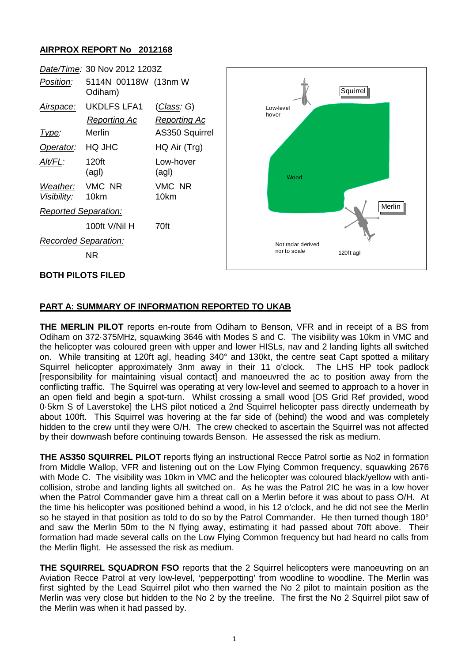## **AIRPROX REPORT No 2012168**



## **PART A: SUMMARY OF INFORMATION REPORTED TO UKAB**

**THE MERLIN PILOT** reports en-route from Odiham to Benson, VFR and in receipt of a BS from Odiham on 372·375MHz, squawking 3646 with Modes S and C. The visibility was 10km in VMC and the helicopter was coloured green with upper and lower HISLs, nav and 2 landing lights all switched on. While transiting at 120ft agl, heading 340° and 130kt, the centre seat Capt spotted a military Squirrel helicopter approximately 3nm away in their 11 o'clock. The LHS HP took padlock [responsibility for maintaining visual contact] and manoeuvred the ac to position away from the conflicting traffic. The Squirrel was operating at very low-level and seemed to approach to a hover in an open field and begin a spot-turn. Whilst crossing a small wood [OS Grid Ref provided, wood 0·5km S of Laverstoke] the LHS pilot noticed a 2nd Squirrel helicopter pass directly underneath by about 100ft. This Squirrel was hovering at the far side of (behind) the wood and was completely hidden to the crew until they were O/H. The crew checked to ascertain the Squirrel was not affected by their downwash before continuing towards Benson. He assessed the risk as medium.

**THE AS350 SQUIRREL PILOT** reports flying an instructional Recce Patrol sortie as No2 in formation from Middle Wallop, VFR and listening out on the Low Flying Common frequency, squawking 2676 with Mode C. The visibility was 10km in VMC and the helicopter was coloured black/yellow with anticollision, strobe and landing lights all switched on. As he was the Patrol 2IC he was in a low hover when the Patrol Commander gave him a threat call on a Merlin before it was about to pass O/H. At the time his helicopter was positioned behind a wood, in his 12 o'clock, and he did not see the Merlin so he stayed in that position as told to do so by the Patrol Commander. He then turned though 180° and saw the Merlin 50m to the N flying away, estimating it had passed about 70ft above. Their formation had made several calls on the Low Flying Common frequency but had heard no calls from the Merlin flight. He assessed the risk as medium.

**THE SQUIRREL SQUADRON FSO** reports that the 2 Squirrel helicopters were manoeuvring on an Aviation Recce Patrol at very low-level, 'pepperpotting' from woodline to woodline. The Merlin was first sighted by the Lead Squirrel pilot who then warned the No 2 pilot to maintain position as the Merlin was very close but hidden to the No 2 by the treeline. The first the No 2 Squirrel pilot saw of the Merlin was when it had passed by.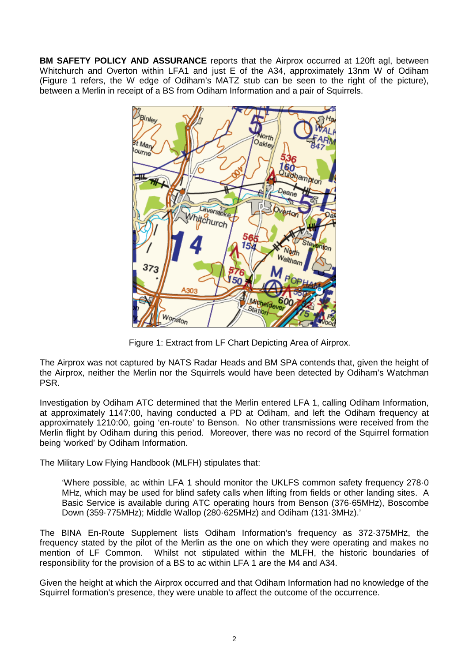**BM SAFETY POLICY AND ASSURANCE** reports that the Airprox occurred at 120ft agl, between Whitchurch and Overton within LFA1 and just E of the A34, approximately 13nm W of Odiham (Figure 1 refers, the W edge of Odiham's MATZ stub can be seen to the right of the picture), between a Merlin in receipt of a BS from Odiham Information and a pair of Squirrels.



Figure 1: Extract from LF Chart Depicting Area of Airprox.

The Airprox was not captured by NATS Radar Heads and BM SPA contends that, given the height of the Airprox, neither the Merlin nor the Squirrels would have been detected by Odiham's Watchman PSR.

Investigation by Odiham ATC determined that the Merlin entered LFA 1, calling Odiham Information, at approximately 1147:00, having conducted a PD at Odiham, and left the Odiham frequency at approximately 1210:00, going 'en-route' to Benson. No other transmissions were received from the Merlin flight by Odiham during this period. Moreover, there was no record of the Squirrel formation being 'worked' by Odiham Information.

The Military Low Flying Handbook (MLFH) stipulates that:

'Where possible, ac within LFA 1 should monitor the UKLFS common safety frequency 278·0 MHz, which may be used for blind safety calls when lifting from fields or other landing sites. A Basic Service is available during ATC operating hours from Benson (376·65MHz), Boscombe Down (359·775MHz); Middle Wallop (280·625MHz) and Odiham (131·3MHz).'

The BINA En-Route Supplement lists Odiham Information's frequency as 372·375MHz, the frequency stated by the pilot of the Merlin as the one on which they were operating and makes no mention of LF Common. Whilst not stipulated within the MLFH, the historic boundaries of responsibility for the provision of a BS to ac within LFA 1 are the M4 and A34.

Given the height at which the Airprox occurred and that Odiham Information had no knowledge of the Squirrel formation's presence, they were unable to affect the outcome of the occurrence.